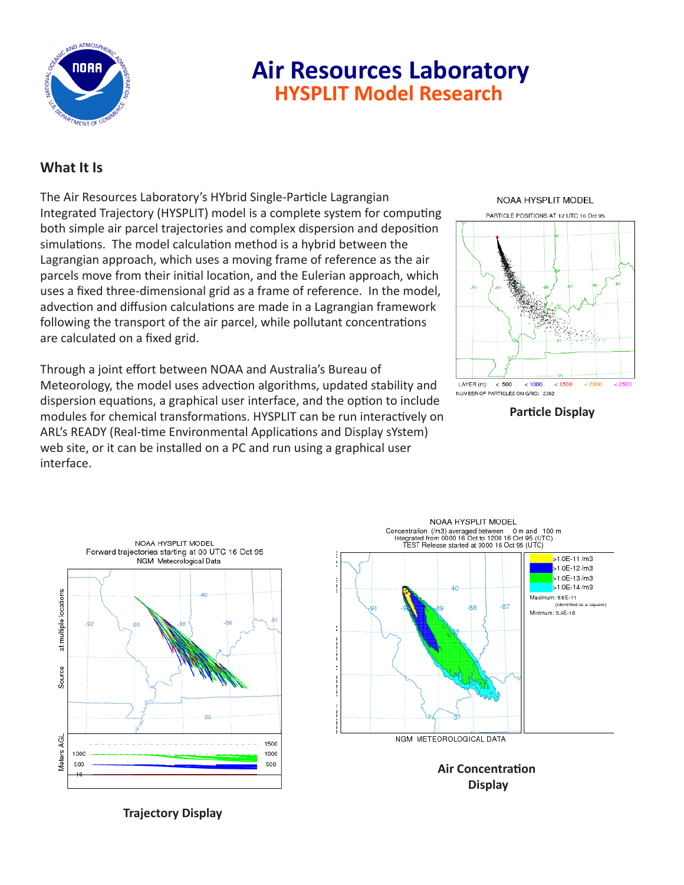

# **Air Resources Laboratory HYSPLIT Model Research**

### **What It Is**

The Air Resources Laboratory's HYbrid Single-Particle Lagrangian Integrated Trajectory (HYSPLIT) model is a complete system for computing both simple air parcel trajectories and complex dispersion and deposition simulations. The model calculation method is a hybrid between the Lagrangian approach, which uses a moving frame of reference as the air parcels move from their initial location, and the Eulerian approach, which uses a fixed three-dimensional grid as a frame of reference. In the model, advection and diffusion calculations are made in a Lagrangian framework following the transport of the air parcel, while pollutant concentrations are calculated on a fixed grid.

Through a joint effort between NOAA and Australia's Bureau of Meteorology, the model uses advection algorithms, updated stability and dispersion equations, a graphical user interface, and the option to include modules for chemical transformations. HYSPLIT can be run interactively on ARL's READY (Real-time Environmental Applications and Display sYstem) web site, or it can be installed on a PC and run using a graphical user interface.



**Particle Display**





**Air Concentration Display**

**Trajectory Display**